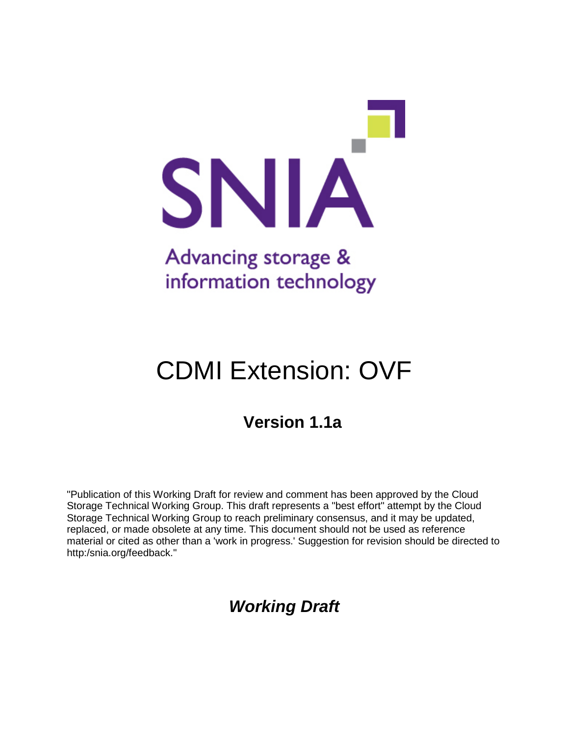

# CDMI Extension: OVF

# **Version 1.1a**

"Publication of this Working Draft for review and comment has been approved by the Cloud Storage Technical Working Group. This draft represents a "best effort" attempt by the Cloud Storage Technical Working Group to reach preliminary consensus, and it may be updated, replaced, or made obsolete at any time. This document should not be used as reference material or cited as other than a 'work in progress.' Suggestion for revision should be directed to http:/snia.org/feedback."

# *Working Draft*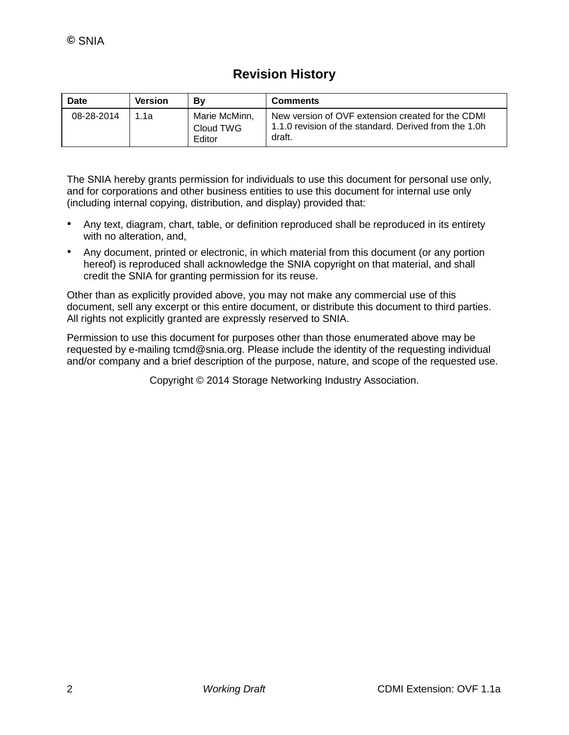# **Revision History**

| <b>Date</b> | Version | Bv                                   | <b>Comments</b>                                                                                                      |
|-------------|---------|--------------------------------------|----------------------------------------------------------------------------------------------------------------------|
| 08-28-2014  | 1 1 a   | Marie McMinn,<br>Cloud TWG<br>Editor | New version of OVF extension created for the CDMI<br>1.1.0 revision of the standard. Derived from the 1.0h<br>draft. |

The SNIA hereby grants permission for individuals to use this document for personal use only, and for corporations and other business entities to use this document for internal use only (including internal copying, distribution, and display) provided that:

- Any text, diagram, chart, table, or definition reproduced shall be reproduced in its entirety with no alteration, and,
- Any document, printed or electronic, in which material from this document (or any portion hereof) is reproduced shall acknowledge the SNIA copyright on that material, and shall credit the SNIA for granting permission for its reuse.

Other than as explicitly provided above, you may not make any commercial use of this document, sell any excerpt or this entire document, or distribute this document to third parties. All rights not explicitly granted are expressly reserved to SNIA.

Permission to use this document for purposes other than those enumerated above may be requested by e-mailing tcmd@snia.org. Please include the identity of the requesting individual and/or company and a brief description of the purpose, nature, and scope of the requested use.

Copyright © 2014 Storage Networking Industry Association.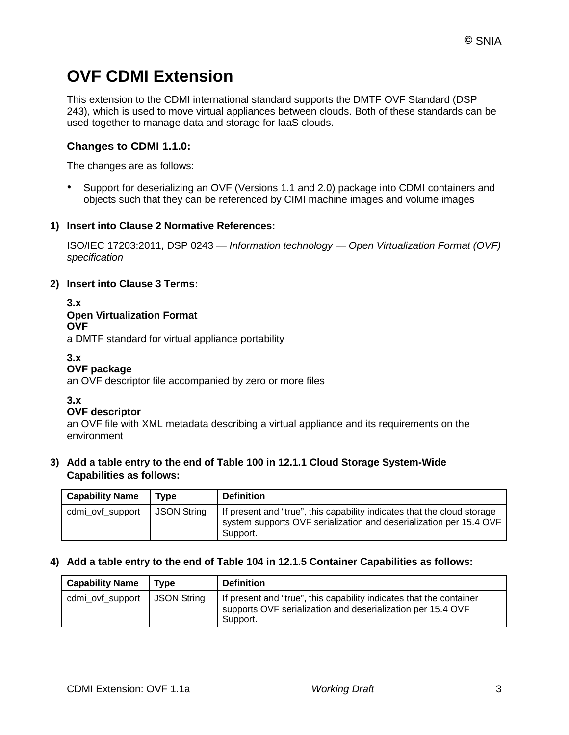# **OVF CDMI Extension**

This extension to the CDMI international standard supports the DMTF OVF Standard (DSP 243), which is used to move virtual appliances between clouds. Both of these standards can be used together to manage data and storage for IaaS clouds.

# **Changes to CDMI 1.1.0:**

The changes are as follows:

• Support for deserializing an OVF (Versions 1.1 and 2.0) package into CDMI containers and objects such that they can be referenced by CIMI machine images and volume images

# **1) Insert into Clause 2 Normative References:**

ISO/IEC 17203:2011, DSP 0243 — *Information technology — Open Virtualization Format (OVF) specification*

## **2) Insert into Clause 3 Terms:**

#### **3.x Open Virtualization Format OVF**

a DMTF standard for virtual appliance portability

## **3.x**

# **OVF package**

an OVF descriptor file accompanied by zero or more files

## **3.x**

## **OVF descriptor**

an OVF file with XML metadata describing a virtual appliance and its requirements on the environment

**3) Add a table entry to the end of Table 100 in 12.1.1 Cloud Storage System-Wide Capabilities as follows:**

| <b>Capability Name</b> | Type               | <b>Definition</b>                                                                                                                                         |
|------------------------|--------------------|-----------------------------------------------------------------------------------------------------------------------------------------------------------|
| cdmi_ovf_support       | <b>JSON String</b> | If present and "true", this capability indicates that the cloud storage<br>system supports OVF serialization and deserialization per 15.4 OVF<br>Support. |

# **4) Add a table entry to the end of Table 104 in 12.1.5 Container Capabilities as follows:**

| <b>Capability Name</b> | Type          | <b>Definition</b>                                                                                                                              |  |
|------------------------|---------------|------------------------------------------------------------------------------------------------------------------------------------------------|--|
| cdmi_ovf_support       | l JSON String | If present and "true", this capability indicates that the container<br>supports OVF serialization and deserialization per 15.4 OVF<br>Support. |  |